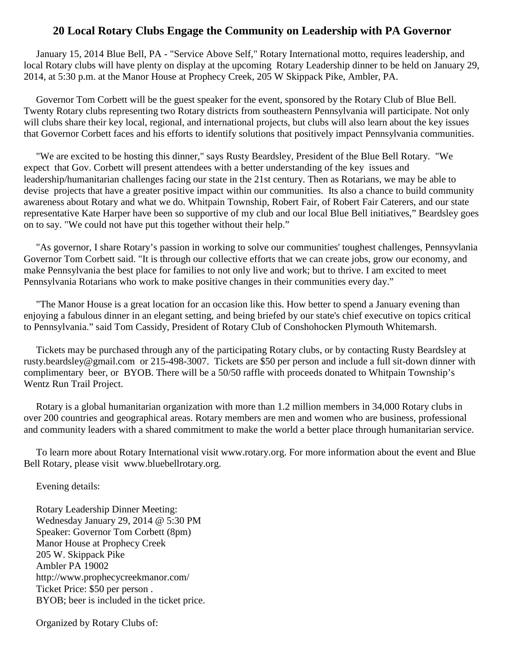## **20 Local Rotary Clubs Engage the Community on Leadership with PA Governor**

January 15, 2014 Blue Bell, PA - "Service Above Self," Rotary International motto, requires leadership, and local Rotary clubs will have plenty on display at the upcoming Rotary Leadership dinner to be held on January 29, 2014, at 5:30 p.m. at the Manor House at Prophecy Creek, 205 W Skippack Pike, Ambler, PA.

Governor Tom Corbett will be the guest speaker for the event, sponsored by the Rotary Club of Blue Bell. Twenty Rotary clubs representing two Rotary districts from southeastern Pennsylvania will participate. Not only will clubs share their key local, regional, and international projects, but clubs will also learn about the key issues that Governor Corbett faces and his efforts to identify solutions that positively impact Pennsylvania communities.

"We are excited to be hosting this dinner," says Rusty Beardsley, President of the Blue Bell Rotary. "We expect that Gov. Corbett will present attendees with a better understanding of the key issues and leadership/humanitarian challenges facing our state in the 21st century. Then as Rotarians, we may be able to devise projects that have a greater positive impact within our communities. Its also a chance to build community awareness about Rotary and what we do. Whitpain Township, Robert Fair, of Robert Fair Caterers, and our state representative Kate Harper have been so supportive of my club and our local Blue Bell initiatives," Beardsley goes on to say. "We could not have put this together without their help."

"As governor, I share Rotary's passion in working to solve our communities' toughest challenges, Pennsyvlania Governor Tom Corbett said. "It is through our collective efforts that we can create jobs, grow our economy, and make Pennsylvania the best place for families to not only live and work; but to thrive. I am excited to meet Pennsylvania Rotarians who work to make positive changes in their communities every day."

"The Manor House is a great location for an occasion like this. How better to spend a January evening than enjoying a fabulous dinner in an elegant setting, and being briefed by our state's chief executive on topics critical to Pennsylvania." said Tom Cassidy, President of Rotary Club of Conshohocken Plymouth Whitemarsh.

Tickets may be purchased through any of the participating Rotary clubs, or by contacting Rusty Beardsley at rusty.beardsley@gmail.com or 215-498-3007. Tickets are \$50 per person and include a full sit-down dinner with complimentary beer, or BYOB. There will be a 50/50 raffle with proceeds donated to Whitpain Township's Wentz Run Trail Project.

Rotary is a global humanitarian organization with more than 1.2 million members in 34,000 Rotary clubs in over 200 countries and geographical areas. Rotary members are men and women who are business, professional and community leaders with a shared commitment to make the world a better place through humanitarian service.

To learn more about Rotary International visit www.rotary.org. For more information about the event and Blue Bell Rotary, please visit www.bluebellrotary.org.

Evening details:

Rotary Leadership Dinner Meeting: Wednesday January 29, 2014 @ 5:30 PM Speaker: Governor Tom Corbett (8pm) Manor House at Prophecy Creek 205 W. Skippack Pike Ambler PA 19002 http://www.prophecycreekmanor.com/ Ticket Price: \$50 per person . BYOB; beer is included in the ticket price.

Organized by Rotary Clubs of: